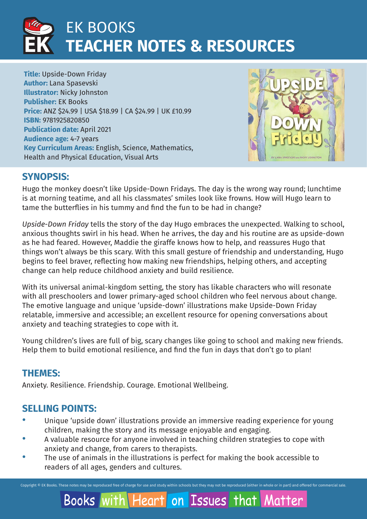

**Title:** Upside-Down Friday **Author:** Lana Spasevski **Illustrator:** Nicky Johnston **Publisher:** EK Books **Price:** ANZ \$24.99 | USA \$18.99 | CA \$24.99 | UK £10.99 **ISBN:** 9781925820850 **Publication date:** April 2021 **Audience age:** 4-7 years **Key Curriculum Areas:** English, Science, Mathematics, Health and Physical Education, Visual Arts



Matter

## **SYNOPSIS:**

Hugo the monkey doesn't like Upside-Down Fridays. The day is the wrong way round; lunchtime is at morning teatime, and all his classmates' smiles look like frowns. How will Hugo learn to tame the butterflies in his tummy and find the fun to be had in change?

*Upside-Down Friday* tells the story of the day Hugo embraces the unexpected. Walking to school, anxious thoughts swirl in his head. When he arrives, the day and his routine are as upside-down as he had feared. However, Maddie the giraffe knows how to help, and reassures Hugo that things won't always be this scary. With this small gesture of friendship and understanding, Hugo begins to feel braver, reflecting how making new friendships, helping others, and accepting change can help reduce childhood anxiety and build resilience.

With its universal animal-kingdom setting, the story has likable characters who will resonate with all preschoolers and lower primary-aged school children who feel nervous about change. The emotive language and unique 'upside-down' illustrations make Upside-Down Friday relatable, immersive and accessible; an excellent resource for opening conversations about anxiety and teaching strategies to cope with it.

Young children's lives are full of big, scary changes like going to school and making new friends. Help them to build emotional resilience, and find the fun in days that don't go to plan!

## **THEMES:**

Anxiety. Resilience. Friendship. Courage. Emotional Wellbeing.

## **SELLING POINTS:**

- Unique 'upside down' illustrations provide an immersive reading experience for young children, making the story and its message enjoyable and engaging.
- A valuable resource for anyone involved in teaching children strategies to cope with anxiety and change, from carers to therapists.
- The use of animals in the illustrations is perfect for making the book accessible to readers of all ages, genders and cultures.

Books with Heart on Issues that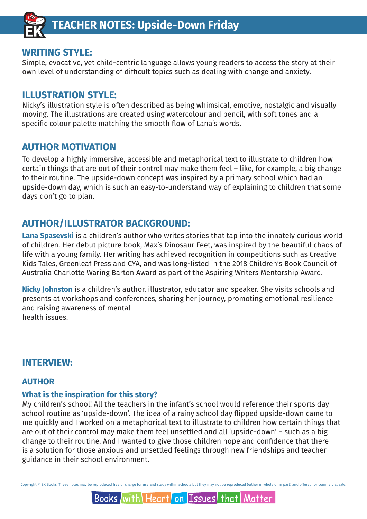

## **WRITING STYLE:**

Simple, evocative, yet child-centric language allows young readers to access the story at their own level of understanding of difficult topics such as dealing with change and anxiety.

## **ILLUSTRATION STYLE:**

Nicky's illustration style is often described as being whimsical, emotive, nostalgic and visually moving. The illustrations are created using watercolour and pencil, with soft tones and a specific colour palette matching the smooth flow of Lana's words.

## **AUTHOR MOTIVATION**

To develop a highly immersive, accessible and metaphorical text to illustrate to children how certain things that are out of their control may make them feel – like, for example, a big change to their routine. The upside-down concept was inspired by a primary school which had an upside-down day, which is such an easy-to-understand way of explaining to children that some days don't go to plan.

## **AUTHOR/ILLUSTRATOR BACKGROUND:**

**Lana Spasevski** is a children's author who writes stories that tap into the innately curious world of children. Her debut picture book, Max's Dinosaur Feet, was inspired by the beautiful chaos of life with a young family. Her writing has achieved recognition in competitions such as Creative Kids Tales, Greenleaf Press and CYA, and was long-listed in the 2018 Children's Book Council of Australia Charlotte Waring Barton Award as part of the Aspiring Writers Mentorship Award.

**Nicky Johnston** is a children's author, illustrator, educator and speaker. She visits schools and presents at workshops and conferences, sharing her journey, promoting emotional resilience and raising awareness of mental health issues.

## **INTERVIEW:**

### **AUTHOR**

#### **What is the inspiration for this story?**

My children's school! All the teachers in the infant's school would reference their sports day school routine as 'upside-down'. The idea of a rainy school day flipped upside-down came to me quickly and I worked on a metaphorical text to illustrate to children how certain things that are out of their control may make them feel unsettled and all 'upside-down' – such as a big change to their routine. And I wanted to give those children hope and confidence that there is a solution for those anxious and unsettled feelings through new friendships and teacher guidance in their school environment.

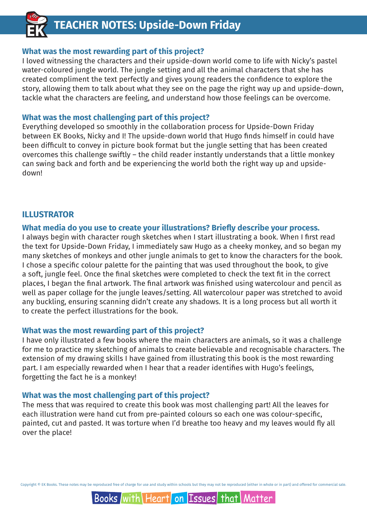#### **What was the most rewarding part of this project?**

I loved witnessing the characters and their upside-down world come to life with Nicky's pastel water-coloured jungle world. The jungle setting and all the animal characters that she has created compliment the text perfectly and gives young readers the confidence to explore the story, allowing them to talk about what they see on the page the right way up and upside-down, tackle what the characters are feeling, and understand how those feelings can be overcome.

#### **What was the most challenging part of this project?**

Everything developed so smoothly in the collaboration process for Upside-Down Friday between EK Books, Nicky and I! The upside-down world that Hugo finds himself in could have been difficult to convey in picture book format but the jungle setting that has been created overcomes this challenge swiftly – the child reader instantly understands that a little monkey can swing back and forth and be experiencing the world both the right way up and upsidedown!

#### **ILLUSTRATOR**

#### **What media do you use to create your illustrations? Briefly describe your process.**

I always begin with character rough sketches when I start illustrating a book. When I first read the text for Upside-Down Friday, I immediately saw Hugo as a cheeky monkey, and so began my many sketches of monkeys and other jungle animals to get to know the characters for the book. I chose a specific colour palette for the painting that was used throughout the book, to give a soft, jungle feel. Once the final sketches were completed to check the text fit in the correct places, I began the final artwork. The final artwork was finished using watercolour and pencil as well as paper collage for the jungle leaves/setting. All watercolour paper was stretched to avoid any buckling, ensuring scanning didn't create any shadows. It is a long process but all worth it to create the perfect illustrations for the book.

#### **What was the most rewarding part of this project?**

I have only illustrated a few books where the main characters are animals, so it was a challenge for me to practice my sketching of animals to create believable and recognisable characters. The extension of my drawing skills I have gained from illustrating this book is the most rewarding part. I am especially rewarded when I hear that a reader identifies with Hugo's feelings, forgetting the fact he is a monkey!

#### **What was the most challenging part of this project?**

The mess that was required to create this book was most challenging part! All the leaves for each illustration were hand cut from pre-painted colours so each one was colour-specific, painted, cut and pasted. It was torture when I'd breathe too heavy and my leaves would fly all over the place!

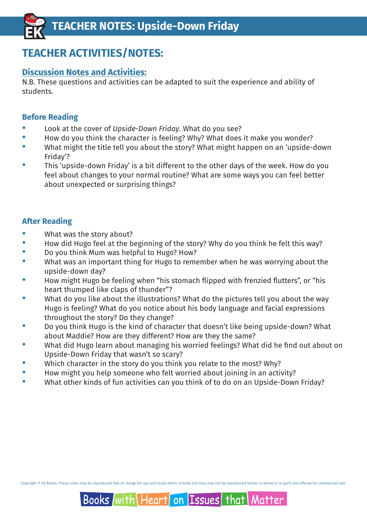## **TEACHER ACTIVITIES/NOTES:**

## **Discussion Notes and Activities:**

N.B. These questions and activities can be adapted to suit the experience and ability of students.

#### **Before Reading**

- · Look at the cover of *Upside-Down Friday*. What do you see?
- · How do you think the character is feeling? Why? What does it make you wonder?
- What might the title tell you about the story? What might happen on an 'upside-down Friday'?
- This 'upside-down Friday' is a bit different to the other days of the week. How do you feel about changes to your normal routine? What are some ways you can feel better about unexpected or surprising things?

### **After Reading**

- · What was the story about?
- · How did Hugo feel at the beginning of the story? Why do you think he felt this way?
- · Do you think Mum was helpful to Hugo? How?
- What was an important thing for Hugo to remember when he was worrying about the upside-down day?
- How might Hugo be feeling when "his stomach flipped with frenzied flutters", or "his heart thumped like claps of thunder"?
- What do you like about the illustrations? What do the pictures tell you about the way Hugo is feeling? What do you notice about his body language and facial expressions throughout the story? Do they change?
- · Do you think Hugo is the kind of character that doesn't like being upside-down? What about Maddie? How are they different? How are they the same?
- What did Hugo learn about managing his worried feelings? What did he find out about on Upside-Down Friday that wasn't so scary?
- Which character in the story do you think you relate to the most? Why?
- · How might you help someone who felt worried about joining in an activity?
- What other kinds of fun activities can you think of to do on an Upside-Down Friday?

Copyright © EK Books. These notes may be reproduced free of charge for use and study within schools but they may not be reproduced (either in whole or in part) and offered for commercial sale.

## Books with Heart on Issues | that Matter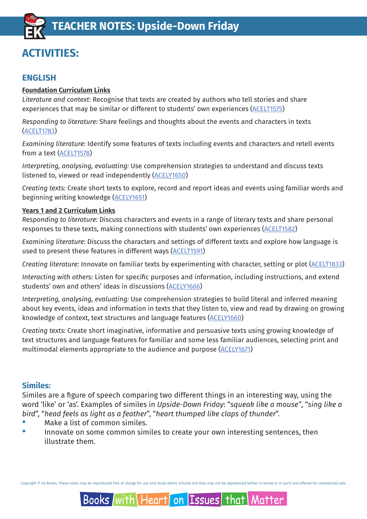## **ACTIVITIES:**

## **ENGLISH**

#### **Foundation Curriculum Links**

*Literature and context:* Recognise that texts are created by authors who tell stories and share experiences that may be similar or different to students' own experience[s \(ACELT1575\)](http://www.scootle.edu.au/ec/search?accContentId=ACELT1575)

*Responding to literature:* Share feelings and thoughts about the events and characters in texts [\(ACELT1783\)](http://www.scootle.edu.au/ec/search?accContentId=ACELT1783)

*Examining literature:* Identify some features of texts including events and characters and retell events from a text [\(ACELT1578\)](http://www.scootle.edu.au/ec/search?accContentId=ACELT1578)

*Interpreting, analysing, evaluating:* Use comprehension strategies to understand and discuss texts listened to, viewed or read independentl[y \(ACELY1650\)](http://www.scootle.edu.au/ec/search?accContentId=ACELY1650)

*Creating texts:* Create short texts to explore, record and report ideas and events using familiar words and beginning writing knowledge [\(ACELY1651\)](http://www.scootle.edu.au/ec/search?accContentId=ACELY1651)

#### **Years 1 and 2 Curriculum Links**

*Responding to literature:* Discuss characters and events in a range of literary texts and share personal responses to these texts, making connections with students' own experiences [\(ACELT1582\)](http://www.scootle.edu.au/ec/search?accContentId=ACELT1582)

*Examining literature:* Discuss the characters and settings of different texts and explore how language is used to present these features in different ways [\(ACELT1591\)](http://www.scootle.edu.au/ec/search?accContentId=ACELT1591)

*Creating literature: I*nnovate on familiar texts by experimenting with character, setting or plot [\(ACELT1833\)](http://www.scootle.edu.au/ec/search?accContentId=ACELT1833)

*Interacting with others:* Listen for specific purposes and information, including instructions, and extend students' own and others' ideas in discussions [\(ACELY1666\)](http://www.scootle.edu.au/ec/search?accContentId=ACELY1666)

*Interpreting, analysing, evaluating:* Use comprehension strategies to build literal and inferred meaning about key events, ideas and information in texts that they listen to, view and read by drawing on growing knowledge of context, text structures and language features [\(ACELY1660\)](http://www.scootle.edu.au/ec/search?accContentId=ACELY1660)

*Creating texts:* Create short imaginative, informative and persuasive texts using growing knowledge of text structures and language features for familiar and some less familiar audiences, selecting print and multimodal elements appropriate to the audience and purpose [\(ACELY1671\)](http://www.scootle.edu.au/ec/search?accContentId=ACELY1671)

### **Similes:**

Similes are a figure of speech comparing two different things in an interesting way, using the word 'like' or 'as'. Examples of similes in *Upside-Down Friday*: "*squeak like a mouse"*, "*sing like a bird*", "*head feels as light as a feather*", "*heart thumped like claps of thunder*".

- Make a list of common similes.
- Innovate on some common similes to create your own interesting sentences, then illustrate them.

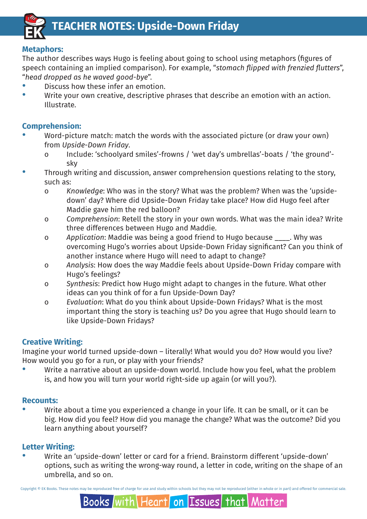

#### **Metaphors:**

The author describes ways Hugo is feeling about going to school using metaphors (figures of speech containing an implied comparison). For example, "*stomach flipped with frenzied flutters*", "*head dropped as he waved good-bye*".

- Discuss how these infer an emotion
- Write your own creative, descriptive phrases that describe an emotion with an action. Illustrate.

## **Comprehension:**

- Word-picture match: match the words with the associated picture (or draw your own) from *Upside-Down Friday*.
	- o Include: 'schoolyard smiles'-frowns / 'wet day's umbrellas'-boats / 'the ground' sky
- Through writing and discussion, answer comprehension questions relating to the story. such as:
	- o *Knowledge*: Who was in the story? What was the problem? When was the 'upside down' day? Where did Upside-Down Friday take place? How did Hugo feel after Maddie gave him the red balloon?
	- o *Comprehension*: Retell the story in your own words. What was the main idea? Write three differences between Hugo and Maddie.
	- o *Application*: Maddie was being a good friend to Hugo because \_\_\_\_. Why was overcoming Hugo's worries about Upside-Down Friday significant? Can you think of another instance where Hugo will need to adapt to change?
	- o *Analysis*: How does the way Maddie feels about Upside-Down Friday compare with Hugo's feelings?
	- o *Synthesis*: Predict how Hugo might adapt to changes in the future. What other ideas can you think of for a fun Upside-Down Day?
	- o *Evaluation*: What do you think about Upside-Down Fridays? What is the most important thing the story is teaching us? Do you agree that Hugo should learn to like Upside-Down Fridays?

### **Creative Writing:**

Imagine your world turned upside-down – literally! What would you do? How would you live? How would you go for a run, or play with your friends?

Write a narrative about an upside-down world. Include how you feel, what the problem is, and how you will turn your world right-side up again (or will you?).

#### **Recounts:**

Write about a time you experienced a change in your life. It can be small, or it can be big. How did you feel? How did you manage the change? What was the outcome? Did you learn anything about yourself?

### **Letter Writing:**

Books Iwith

· Write an 'upside-down' letter or card for a friend. Brainstorm different 'upside-down' options, such as writing the wrong-way round, a letter in code, writing on the shape of an umbrella, and so on.

Copyright © EK Books. These notes may be reproduced free of charge for use and study within schools but they may not be reproduced (either in whole or in part) and offered for commercial sale.

Heart

on Issues

that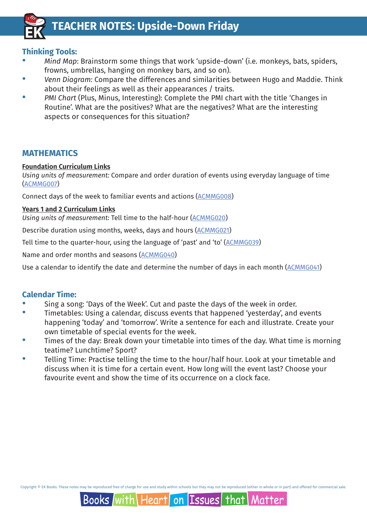

#### **Thinking Tools:**

- · *Mind Map*: Brainstorm some things that work 'upside-down' (i.e. monkeys, bats, spiders, frowns, umbrellas, hanging on monkey bars, and so on).
- · *Venn Diagram:* Compare the differences and similarities between Hugo and Maddie. Think about their feelings as well as their appearances / traits.
- · *PMI Chart* (Plus, Minus, Interesting): Complete the PMI chart with the title 'Changes in Routine'. What are the positives? What are the negatives? What are the interesting aspects or consequences for this situation?

#### **MATHEMATICS**

#### **Foundation Curriculum Links**

*Using units of measurement:* Compare and order duration of events using everyday language of time [\(ACMMG007\)](http://www.scootle.edu.au/ec/search?accContentId=ACMMG007)

Connect days of the week to familiar events and actions [\(ACMMG008\)](http://www.scootle.edu.au/ec/search?accContentId=ACMMG008)

#### **Years 1 and 2 Curriculum Links**

*Using units of measurement:* Tell time to the half-hour [\(ACMMG020\)](http://www.scootle.edu.au/ec/search?accContentId=ACMMG020)

Describe duration using months, weeks, days and hours [\(ACMMG021\)](http://www.scootle.edu.au/ec/search?accContentId=ACMMG021)

Tell time to the quarter-hour, using the language of 'past' and 'to' [\(ACMMG039\)](http://www.scootle.edu.au/ec/search?accContentId=ACMMG039)

Name and order months and seasons [\(ACMMG040\)](http://www.scootle.edu.au/ec/search?accContentId=ACMMG040)

Use a calendar to identify the date and determine the number of days in each month [\(ACMMG041\)](http://www.scootle.edu.au/ec/search?accContentId=ACMMG041)

#### **Calendar Time:**

- Sing a song: 'Days of the Week'. Cut and paste the days of the week in order.
- Timetables: Using a calendar, discuss events that happened 'yesterday', and events happening 'today' and 'tomorrow'. Write a sentence for each and illustrate. Create your own timetable of special events for the week.
- · Times of the day: Break down your timetable into times of the day. What time is morning teatime? Lunchtime? Sport?
- Telling Time: Practise telling the time to the hour/half hour. Look at your timetable and discuss when it is time for a certain event. How long will the event last? Choose your favourite event and show the time of its occurrence on a clock face.

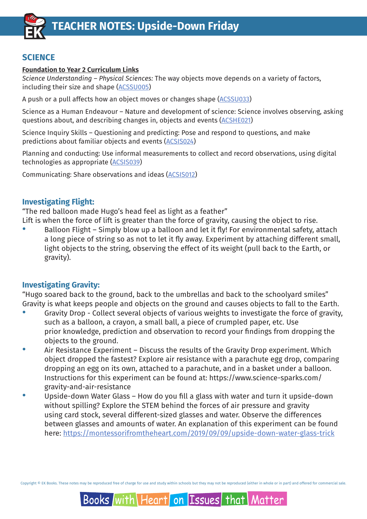

### **SCIENCE**

#### **Foundation to Year 2 Curriculum Links**

*Science Understanding – Physical Sciences:* The way objects move depends on a variety of factors, including their size and shape [\(ACSSU005\)](http://www.scootle.edu.au/ec/search?accContentId=ACSSU005)

A push or a pull affects how an object moves or changes shape [\(ACSSU033\)](http://www.scootle.edu.au/ec/search?accContentId=ACSSU033)

Science as a Human Endeavour – Nature and development of science: Science involves observing, asking questions about, and describing changes in, objects and events [\(ACSHE021\)](http://www.scootle.edu.au/ec/search?accContentId=ACSHE021)

Science Inquiry Skills – Questioning and predicting: Pose and respond to questions, and make predictions about familiar objects and events [\(ACSIS024\)](http://www.scootle.edu.au/ec/search?accContentId=ACSIS024)

Planning and conducting: Use informal measurements to collect and record observations, using digital technologies as appropriate [\(ACSIS039\)](http://www.scootle.edu.au/ec/search?accContentId=ACSIS039)

Communicating: Share observations and ideas [\(ACSIS012\)](http://www.scootle.edu.au/ec/search?accContentId=ACSIS012)

#### **Investigating Flight:**

"The red balloon made Hugo's head feel as light as a feather"

Lift is when the force of lift is greater than the force of gravity, causing the object to rise.

Balloon Flight – Simply blow up a balloon and let it fly! For environmental safety, attach a long piece of string so as not to let it fly away. Experiment by attaching different small, light objects to the string, observing the effect of its weight (pull back to the Earth, or gravity).

#### **Investigating Gravity:**

"Hugo soared back to the ground, back to the umbrellas and back to the schoolyard smiles" Gravity is what keeps people and objects on the ground and causes objects to fall to the Earth.

- Gravity Drop Collect several objects of various weights to investigate the force of gravity, such as a balloon, a crayon, a small ball, a piece of crumpled paper, etc. Use prior knowledge, prediction and observation to record your findings from dropping the objects to the ground.
- Air Resistance Experiment Discuss the results of the Gravity Drop experiment. Which object dropped the fastest? Explore air resistance with a parachute egg drop, comparing dropping an egg on its own, attached to a parachute, and in a basket under a balloon. Instructions for this experiment can be found at: [https://www.science-sparks.com/](https://www.science-sparks.com/gravity-and-air-resistance) gravity-and-air-resistance
- Upside-down Water Glass How do you fill a glass with water and turn it upside-down without spilling? Explore the STEM behind the forces of air pressure and gravity using card stock, several different-sized glasses and water. Observe the differences between glasses and amounts of water. An explanation of this experiment can be found here: <https://montessorifromtheheart.com/2019/09/09/upside-down-water-glass-trick>

Copyright © EK Books. These notes may be reproduced free of charge for use and study within schools but they may not be reproduced (either in whole or in part) and offered for commercial sale.

#### Books with Heart on Issues that Matter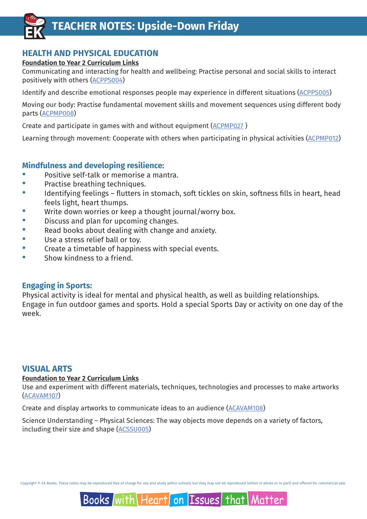

### **HEALTH AND PHYSICAL EDUCATION**

#### **Foundation to Year 2 Curriculum Links**

Communicating and interacting for health and wellbeing: Practise personal and social skills to interact positively with others [\(ACPPS004\)](http://www.scootle.edu.au/ec/search?accContentId=ACPPS004)

Identify and describe emotional responses people may experience in different situations [\(ACPPS005\)](http://www.scootle.edu.au/ec/search?accContentId=ACPPS005)

Moving our body: Practise fundamental movement skills and movement sequences using different body parts [\(ACPMP008\)](http://www.scootle.edu.au/ec/search?accContentId=ACPMP008)

Create and participate in games with and without equipment [\(ACPMP027 \)](http://www.scootle.edu.au/ec/search?accContentId=ACPMP027)

Learning through movement: Cooperate with others when participating in physical activities [\(ACPMP012\)](http://www.scootle.edu.au/ec/search?accContentId=ACPMP012)

#### **Mindfulness and developing resilience:**

- Positive self-talk or memorise a mantra.
- · Practise breathing techniques.
- Identifying feelings flutters in stomach, soft tickles on skin, softness fills in heart, head feels light, heart thumps.
- Write down worries or keep a thought journal/worry box.
- · Discuss and plan for upcoming changes.
- Read books about dealing with change and anxiety.
- Use a stress relief ball or toy.
- · Create a timetable of happiness with special events.
- · Show kindness to a friend.

#### **Engaging in Sports:**

Physical activity is ideal for mental and physical health, as well as building relationships. Engage in fun outdoor games and sports. Hold a special Sports Day or activity on one day of the week.

#### **VISUAL ARTS**

#### **Foundation to Year 2 Curriculum Links**

Use and experiment with different materials, techniques, technologies and processes to make artworks [\(ACAVAM107\)](http://www.scootle.edu.au/ec/search?accContentId=ACAVAM107)

Create and display artworks to communicate ideas to an audienc[e \(ACAVAM108\)](http://www.scootle.edu.au/ec/search?accContentId=ACAVAM108)

Science Understanding – Physical Sciences: The way objects move depends on a variety of factors, including their size and shape [\(ACSSU005\)](http://www.scootle.edu.au/ec/search?accContentId=ACSSU005)

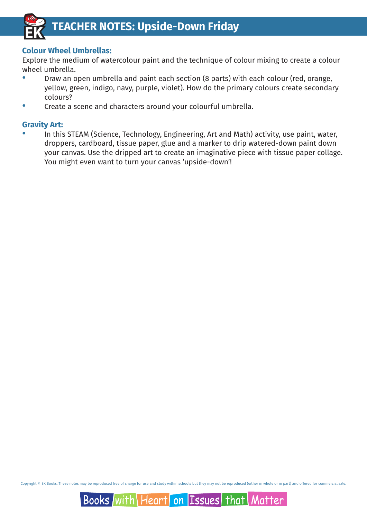

#### **Colour Wheel Umbrellas:**

Explore the medium of watercolour paint and the technique of colour mixing to create a colour wheel umbrella.

- · Draw an open umbrella and paint each section (8 parts) with each colour (red, orange, yellow, green, indigo, navy, purple, violet). How do the primary colours create secondary colours?
- Create a scene and characters around your colourful umbrella.

#### **Gravity Art:**

In this STEAM (Science, Technology, Engineering, Art and Math) activity, use paint, water, droppers, cardboard, tissue paper, glue and a marker to drip watered-down paint down your canvas. Use the dripped art to create an imaginative piece with tissue paper collage. You might even want to turn your canvas 'upside-down'!